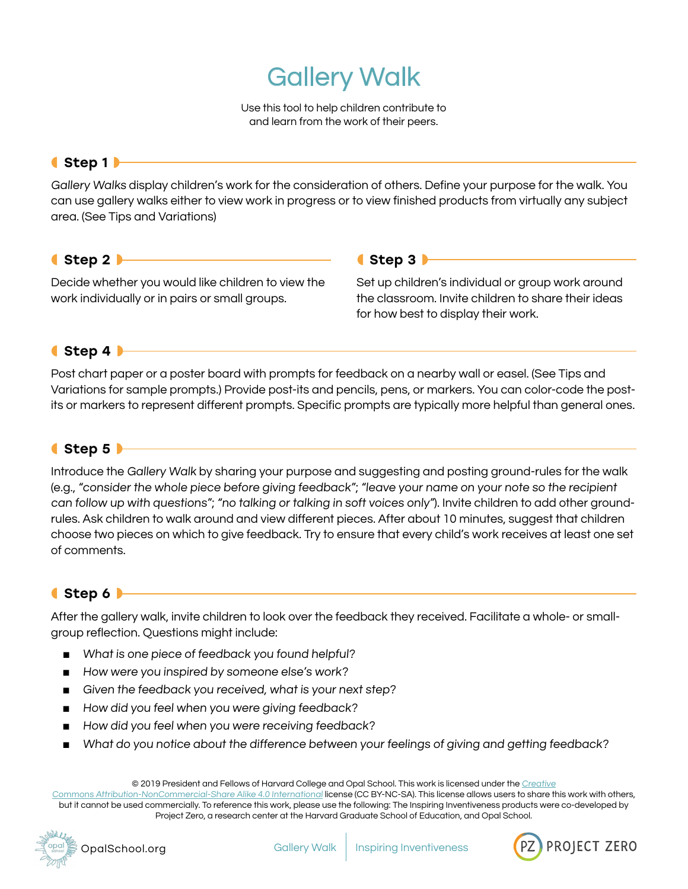# Gallery Walk

Use this tool to help children contribute to and learn from the work of their peers.

#### ◖Step 1◗

Gallery Walks display children's work for the consideration of others. Define your purpose for the walk. You can use gallery walks either to view work in progress or to view finished products from virtually any subject area. (See Tips and Variations)

### ◖Step 2◗

Decide whether you would like children to view the work individually or in pairs or small groups.

#### ◖Step 3◗

Set up children's individual or group work around the classroom. Invite children to share their ideas for how best to display their work.

# ◖Step 4◗

Post chart paper or a poster board with prompts for feedback on a nearby wall or easel. (See Tips and Variations for sample prompts.) Provide post-its and pencils, pens, or markers. You can color-code the postits or markers to represent different prompts. Specific prompts are typically more helpful than general ones.

## ● Step 5

Introduce the Gallery Walk by sharing your purpose and suggesting and posting ground-rules for the walk (e.g., "consider the whole piece before giving feedback"; "leave your name on your note so the recipient can follow up with questions"; "no talking or talking in soft voices only"). Invite children to add other groundrules. Ask children to walk around and view different pieces. After about 10 minutes, suggest that children choose two pieces on which to give feedback. Try to ensure that every child's work receives at least one set of comments.

# ◖Step 6◗

After the gallery walk, invite children to look over the feedback they received. Facilitate a whole- or smallgroup reflection. Questions might include:

- What is one piece of feedback you found helpful?
- How were you inspired by someone else's work?
- Given the feedback you received, what is your next step?
- How did you feel when you were giving feedback?
- How did you feel when you were receiving feedback?
- What do you notice about the difference between your feelings of giving and getting feedback?

© 2019 President and Fellows of Harvard College and Opal School. This work is licensed under the [Creative](https://creativecommons.org/licenses/by-nc-sa/4.0/)

[Commons Attribution-NonCommercial-Share Alike 4.0 International](https://creativecommons.org/licenses/by-nc-sa/4.0/) license (CC BY-NC-SA). This license allows users to share this work with others, but it cannot be used commercially. To reference this work, please use the following: The Inspiring Inventiveness products were co-developed by Project Zero, a research center at the Harvard Graduate School of Education, and Opal School.